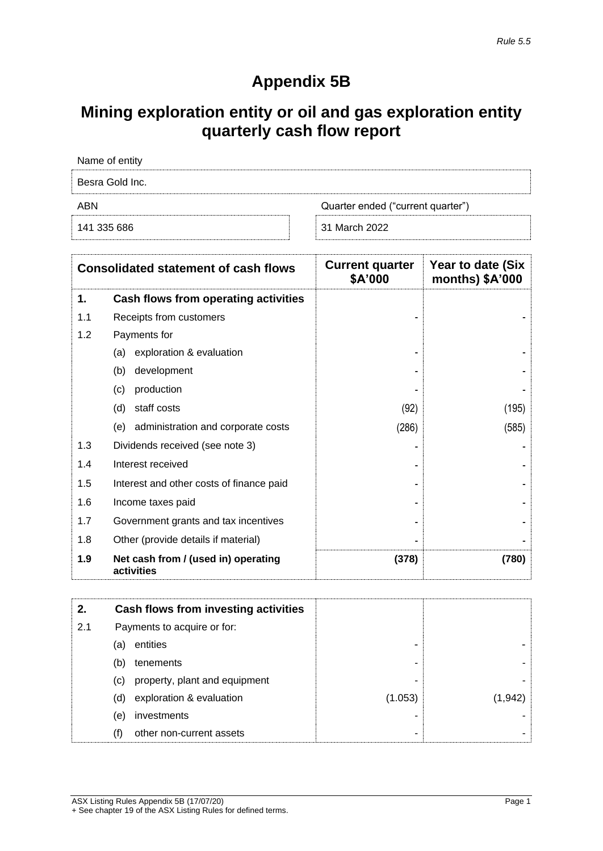## **Appendix 5B**

# **Mining exploration entity or oil and gas exploration entity quarterly cash flow report**

| Name of entity                           |               |  |
|------------------------------------------|---------------|--|
| Besra Gold Inc.                          |               |  |
| Quarter ended ("current quarter")<br>ABN |               |  |
| 141 335 686                              | 31 March 2022 |  |

| <b>Consolidated statement of cash flows</b> |                                                   | <b>Current quarter</b><br>\$A'000 | Year to date (Six<br>months) \$A'000 |
|---------------------------------------------|---------------------------------------------------|-----------------------------------|--------------------------------------|
| 1.                                          | Cash flows from operating activities              |                                   |                                      |
| 1.1                                         | Receipts from customers                           |                                   |                                      |
| 1.2                                         | Payments for                                      |                                   |                                      |
|                                             | exploration & evaluation<br>(a)                   |                                   |                                      |
|                                             | development<br>(b)                                |                                   |                                      |
|                                             | (c)<br>production                                 |                                   |                                      |
|                                             | (d)<br>staff costs                                | (92)                              | (195)                                |
|                                             | administration and corporate costs<br>(e)         | (286)                             | (585)                                |
| 1.3                                         | Dividends received (see note 3)                   |                                   |                                      |
| 1.4                                         | Interest received                                 |                                   |                                      |
| 1.5                                         | Interest and other costs of finance paid          |                                   |                                      |
| 1.6                                         | Income taxes paid                                 |                                   |                                      |
| 1.7                                         | Government grants and tax incentives              |                                   |                                      |
| 1.8                                         | Other (provide details if material)               |                                   |                                      |
| 1.9                                         | Net cash from / (used in) operating<br>activities | (378)                             | (780)                                |

| 2.  | Cash flows from investing activities |         |         |
|-----|--------------------------------------|---------|---------|
| 2.1 | Payments to acquire or for:          |         |         |
|     | entities<br>(a)                      |         |         |
|     | tenements<br>(b)                     | ۰       |         |
|     | property, plant and equipment<br>(C) | -       |         |
|     | exploration & evaluation<br>(d)      | (1.053) | (1,942) |
|     | investments<br>(e)                   |         |         |
|     | other non-current assets<br>(f)      | ۰       |         |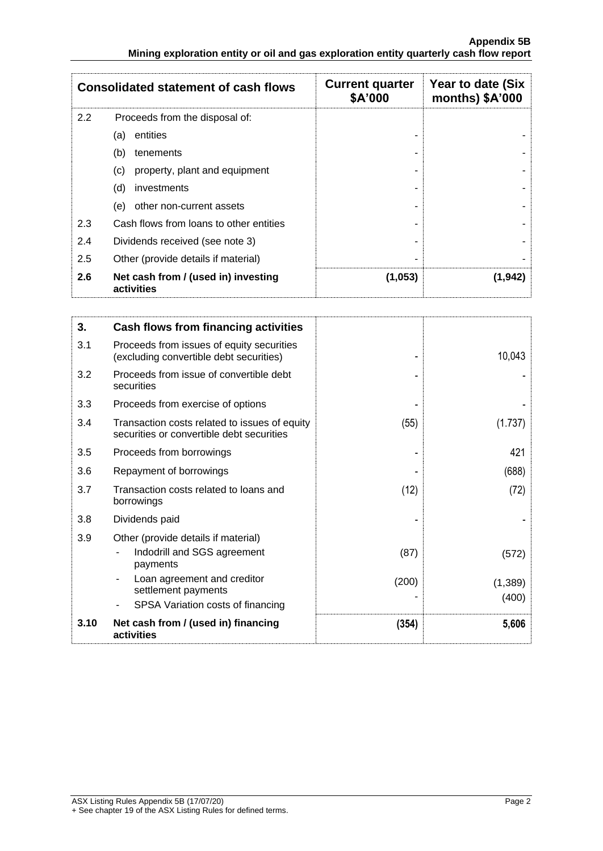| <b>Consolidated statement of cash flows</b>        |                                                   | <b>Current quarter</b><br>\$A'000 | Year to date (Six<br>months) \$A'000 |
|----------------------------------------------------|---------------------------------------------------|-----------------------------------|--------------------------------------|
| $2.2\phantom{0}$<br>Proceeds from the disposal of: |                                                   |                                   |                                      |
|                                                    | entities<br>(a)                                   |                                   |                                      |
|                                                    | (b)<br>tenements                                  |                                   |                                      |
|                                                    | property, plant and equipment<br>(C)              |                                   |                                      |
|                                                    | (d)<br>investments                                |                                   |                                      |
|                                                    | other non-current assets<br>(e)                   |                                   |                                      |
| 2.3                                                | Cash flows from loans to other entities           |                                   |                                      |
| 2.4                                                | Dividends received (see note 3)                   |                                   |                                      |
| 2.5<br>Other (provide details if material)         |                                                   |                                   |                                      |
| 2.6                                                | Net cash from / (used in) investing<br>activities | (1,053)                           | (1,942)                              |

| 3.   | <b>Cash flows from financing activities</b>                                                                   |               |                   |
|------|---------------------------------------------------------------------------------------------------------------|---------------|-------------------|
| 3.1  | Proceeds from issues of equity securities<br>(excluding convertible debt securities)                          |               | 10,043            |
| 3.2  | Proceeds from issue of convertible debt<br>securities                                                         |               |                   |
| 3.3  | Proceeds from exercise of options                                                                             |               |                   |
| 3.4  | Transaction costs related to issues of equity<br>securities or convertible debt securities                    | (55)          | (1.737            |
| 3.5  | Proceeds from borrowings                                                                                      |               | 421               |
| 3.6  | Repayment of borrowings                                                                                       |               | (688)             |
| 3.7  | Transaction costs related to loans and<br>borrowings                                                          | (12)          | (72)              |
| 3.8  | Dividends paid                                                                                                |               |                   |
| 3.9  | Other (provide details if material)<br>Indodrill and SGS agreement<br>payments<br>Loan agreement and creditor | (87)<br>(200) | (572)<br>(1, 389) |
|      | settlement payments<br>SPSA Variation costs of financing                                                      |               | (400)             |
| 3.10 | Net cash from / (used in) financing<br>activities                                                             | (354)         | 5,606             |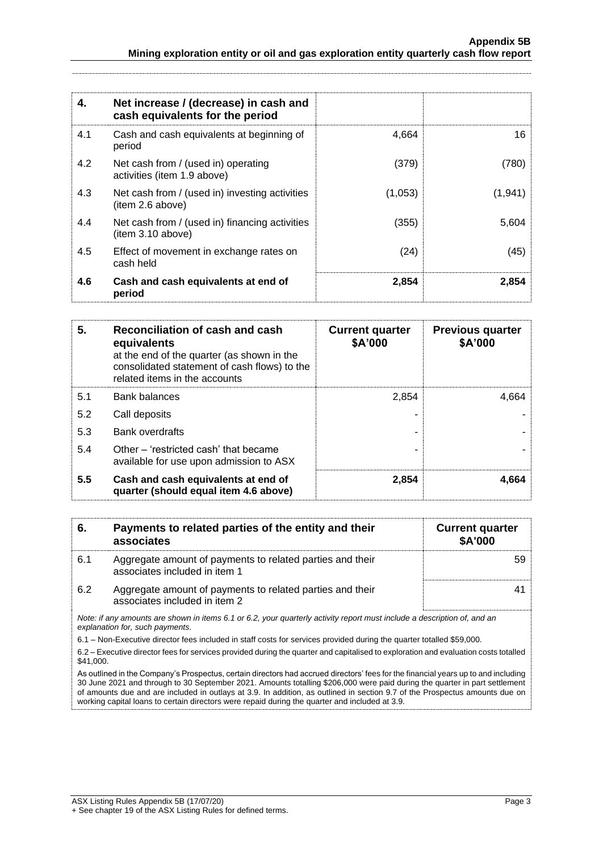| 4.  | Net increase / (decrease) in cash and<br>cash equivalents for the period |         |          |
|-----|--------------------------------------------------------------------------|---------|----------|
| 4.1 | Cash and cash equivalents at beginning of<br>period                      | 4,664   | 16       |
| 4.2 | Net cash from / (used in) operating<br>activities (item 1.9 above)       | (379)   | (780)    |
| 4.3 | Net cash from / (used in) investing activities<br>(item 2.6 above)       | (1,053) | (1, 941) |
| 4.4 | Net cash from / (used in) financing activities<br>item 3.10 above)       | (355)   | 5,604    |
| 4.5 | Effect of movement in exchange rates on<br>cash held                     | (24)    | (45)     |
| 4.6 | Cash and cash equivalents at end of<br>period                            | 2,854   | 2,854    |

| 5.  | Reconciliation of cash and cash<br>equivalents<br>at the end of the quarter (as shown in the<br>consolidated statement of cash flows) to the<br>related items in the accounts | <b>Current quarter</b><br>\$A'000 | <b>Previous quarter</b><br>\$A'000 |
|-----|-------------------------------------------------------------------------------------------------------------------------------------------------------------------------------|-----------------------------------|------------------------------------|
| 5.1 | <b>Bank balances</b>                                                                                                                                                          | 2,854                             | 4,664                              |
| 5.2 | Call deposits                                                                                                                                                                 |                                   |                                    |
| 5.3 | <b>Bank overdrafts</b>                                                                                                                                                        |                                   |                                    |
| 5.4 | Other – 'restricted cash' that became<br>available for use upon admission to ASX                                                                                              |                                   |                                    |
| 5.5 | Cash and cash equivalents at end of<br>quarter (should equal item 4.6 above)                                                                                                  | 2,854                             | 4,664                              |

| 6.  | Payments to related parties of the entity and their<br>associates                          | <b>Current quarter</b><br>\$A'000 |
|-----|--------------------------------------------------------------------------------------------|-----------------------------------|
| 6.1 | Aggregate amount of payments to related parties and their<br>associates included in item 1 |                                   |
| 6.2 | Aggregate amount of payments to related parties and their<br>associates included in item 2 |                                   |

*Note: if any amounts are shown in items 6.1 or 6.2, your quarterly activity report must include a description of, and an explanation for, such payments.*

6.1 – Non-Executive director fees included in staff costs for services provided during the quarter totalled \$59,000.

6.2 – Executive director fees for services provided during the quarter and capitalised to exploration and evaluation costs totalled \$41,000.

As outlined in the Company's Prospectus, certain directors had accrued directors' fees for the financial years up to and including 30 June 2021 and through to 30 September 2021. Amounts totalling \$206,000 were paid during the quarter in part settlement of amounts due and are included in outlays at 3.9. In addition, as outlined in section 9.7 of the Prospectus amounts due on working capital loans to certain directors were repaid during the quarter and included at 3.9.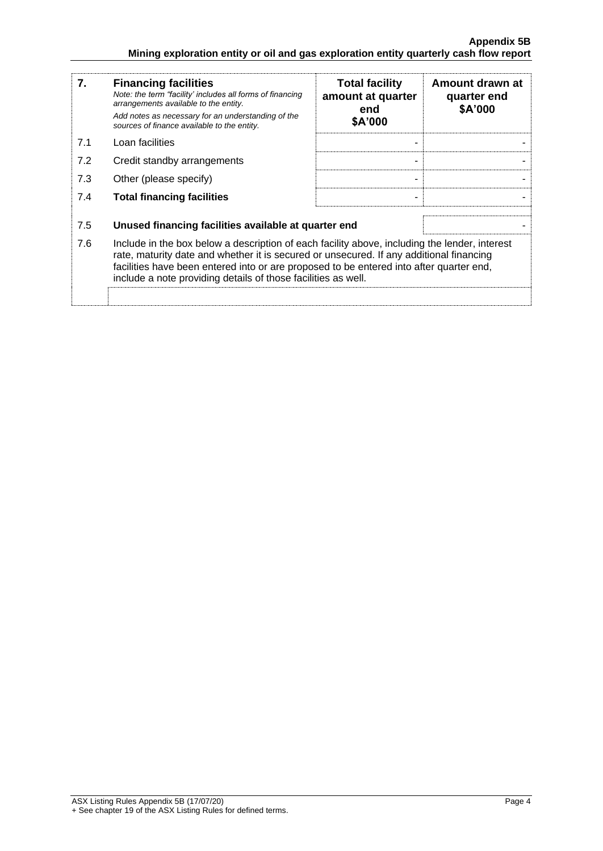| 7.  | <b>Financing facilities</b><br>Note: the term "facility' includes all forms of financing<br>arrangements available to the entity.<br>Add notes as necessary for an understanding of the<br>sources of finance available to the entity.                                                                                                               | <b>Total facility</b><br>amount at quarter<br>end<br>\$A'000 | Amount drawn at<br>quarter end<br>\$A'000 |
|-----|------------------------------------------------------------------------------------------------------------------------------------------------------------------------------------------------------------------------------------------------------------------------------------------------------------------------------------------------------|--------------------------------------------------------------|-------------------------------------------|
| 7.1 | Loan facilities                                                                                                                                                                                                                                                                                                                                      |                                                              |                                           |
| 7.2 | Credit standby arrangements                                                                                                                                                                                                                                                                                                                          | -                                                            |                                           |
| 7.3 | Other (please specify)                                                                                                                                                                                                                                                                                                                               | -                                                            |                                           |
| 7.4 | <b>Total financing facilities</b>                                                                                                                                                                                                                                                                                                                    |                                                              |                                           |
|     |                                                                                                                                                                                                                                                                                                                                                      |                                                              |                                           |
| 7.5 | Unused financing facilities available at quarter end                                                                                                                                                                                                                                                                                                 |                                                              |                                           |
| 7.6 | Include in the box below a description of each facility above, including the lender, interest<br>rate, maturity date and whether it is secured or unsecured. If any additional financing<br>facilities have been entered into or are proposed to be entered into after quarter end,<br>include a note providing details of those facilities as well. |                                                              |                                           |
|     |                                                                                                                                                                                                                                                                                                                                                      |                                                              |                                           |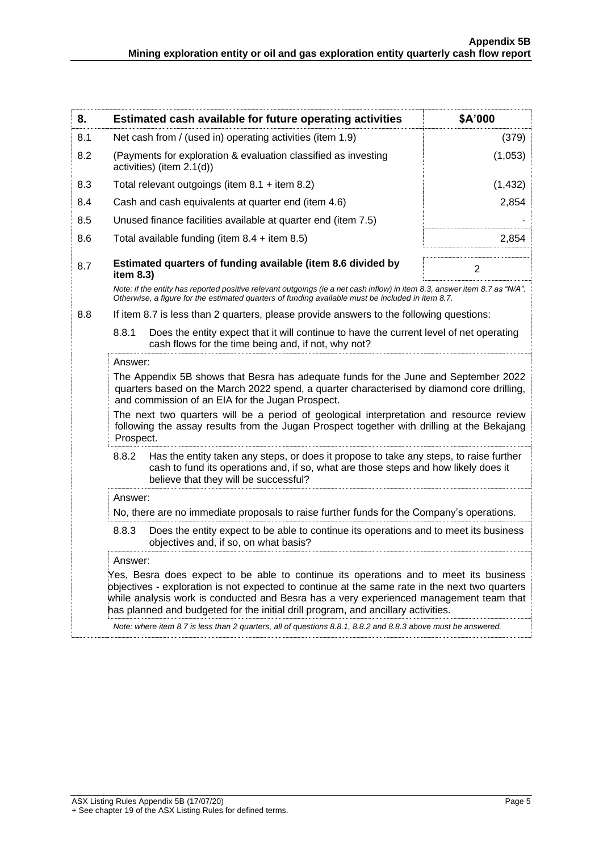| 8.                                                                                                                                                                                                                                                                                                                                                     |                                                                                                                                                                                                                                                                                                                                                                        | Estimated cash available for future operating activities                                                                                                                                                                                                                                                                                                                                          | \$A'000  |                                                                                                                                                                                                                                                        |
|--------------------------------------------------------------------------------------------------------------------------------------------------------------------------------------------------------------------------------------------------------------------------------------------------------------------------------------------------------|------------------------------------------------------------------------------------------------------------------------------------------------------------------------------------------------------------------------------------------------------------------------------------------------------------------------------------------------------------------------|---------------------------------------------------------------------------------------------------------------------------------------------------------------------------------------------------------------------------------------------------------------------------------------------------------------------------------------------------------------------------------------------------|----------|--------------------------------------------------------------------------------------------------------------------------------------------------------------------------------------------------------------------------------------------------------|
| 8.1                                                                                                                                                                                                                                                                                                                                                    |                                                                                                                                                                                                                                                                                                                                                                        | Net cash from / (used in) operating activities (item 1.9)                                                                                                                                                                                                                                                                                                                                         | (379)    |                                                                                                                                                                                                                                                        |
| 8.2                                                                                                                                                                                                                                                                                                                                                    | (Payments for exploration & evaluation classified as investing<br>activities) (item 2.1(d))                                                                                                                                                                                                                                                                            |                                                                                                                                                                                                                                                                                                                                                                                                   | (1,053)  |                                                                                                                                                                                                                                                        |
| 8.3                                                                                                                                                                                                                                                                                                                                                    |                                                                                                                                                                                                                                                                                                                                                                        | Total relevant outgoings (item $8.1 +$ item $8.2$ )                                                                                                                                                                                                                                                                                                                                               | (1, 432) |                                                                                                                                                                                                                                                        |
| 8.4                                                                                                                                                                                                                                                                                                                                                    |                                                                                                                                                                                                                                                                                                                                                                        | Cash and cash equivalents at quarter end (item 4.6)                                                                                                                                                                                                                                                                                                                                               | 2,854    |                                                                                                                                                                                                                                                        |
| 8.5                                                                                                                                                                                                                                                                                                                                                    |                                                                                                                                                                                                                                                                                                                                                                        | Unused finance facilities available at quarter end (item 7.5)                                                                                                                                                                                                                                                                                                                                     |          |                                                                                                                                                                                                                                                        |
| 8.6                                                                                                                                                                                                                                                                                                                                                    |                                                                                                                                                                                                                                                                                                                                                                        | Total available funding (item $8.4 +$ item $8.5$ )                                                                                                                                                                                                                                                                                                                                                | 2,854    |                                                                                                                                                                                                                                                        |
| 8.7                                                                                                                                                                                                                                                                                                                                                    | item 8.3)                                                                                                                                                                                                                                                                                                                                                              | Estimated quarters of funding available (item 8.6 divided by                                                                                                                                                                                                                                                                                                                                      | 2        |                                                                                                                                                                                                                                                        |
|                                                                                                                                                                                                                                                                                                                                                        |                                                                                                                                                                                                                                                                                                                                                                        | Note: if the entity has reported positive relevant outgoings (ie a net cash inflow) in item 8.3, answer item 8.7 as "N/A".<br>Otherwise, a figure for the estimated quarters of funding available must be included in item 8.7.                                                                                                                                                                   |          |                                                                                                                                                                                                                                                        |
| 8.8                                                                                                                                                                                                                                                                                                                                                    |                                                                                                                                                                                                                                                                                                                                                                        | If item 8.7 is less than 2 quarters, please provide answers to the following questions:                                                                                                                                                                                                                                                                                                           |          |                                                                                                                                                                                                                                                        |
| 8.8.1<br>Does the entity expect that it will continue to have the current level of net operating<br>cash flows for the time being and, if not, why not?<br>Answer:<br>The Appendix 5B shows that Besra has adequate funds for the June and September 2022<br>quarters based on the March 2022 spend, a quarter characterised by diamond core drilling, |                                                                                                                                                                                                                                                                                                                                                                        |                                                                                                                                                                                                                                                                                                                                                                                                   |          |                                                                                                                                                                                                                                                        |
|                                                                                                                                                                                                                                                                                                                                                        |                                                                                                                                                                                                                                                                                                                                                                        |                                                                                                                                                                                                                                                                                                                                                                                                   |          | and commission of an EIA for the Jugan Prospect.<br>The next two quarters will be a period of geological interpretation and resource review<br>following the assay results from the Jugan Prospect together with drilling at the Bekajang<br>Prospect. |
|                                                                                                                                                                                                                                                                                                                                                        | 8.8.2                                                                                                                                                                                                                                                                                                                                                                  | Has the entity taken any steps, or does it propose to take any steps, to raise further<br>cash to fund its operations and, if so, what are those steps and how likely does it<br>believe that they will be successful?                                                                                                                                                                            |          |                                                                                                                                                                                                                                                        |
|                                                                                                                                                                                                                                                                                                                                                        | Answer:                                                                                                                                                                                                                                                                                                                                                                |                                                                                                                                                                                                                                                                                                                                                                                                   |          |                                                                                                                                                                                                                                                        |
|                                                                                                                                                                                                                                                                                                                                                        |                                                                                                                                                                                                                                                                                                                                                                        | No, there are no immediate proposals to raise further funds for the Company's operations.                                                                                                                                                                                                                                                                                                         |          |                                                                                                                                                                                                                                                        |
|                                                                                                                                                                                                                                                                                                                                                        | 8.8.3                                                                                                                                                                                                                                                                                                                                                                  | Does the entity expect to be able to continue its operations and to meet its business<br>objectives and, if so, on what basis?                                                                                                                                                                                                                                                                    |          |                                                                                                                                                                                                                                                        |
|                                                                                                                                                                                                                                                                                                                                                        | Answer:                                                                                                                                                                                                                                                                                                                                                                |                                                                                                                                                                                                                                                                                                                                                                                                   |          |                                                                                                                                                                                                                                                        |
|                                                                                                                                                                                                                                                                                                                                                        | Yes, Besra does expect to be able to continue its operations and to meet its business<br>objectives - exploration is not expected to continue at the same rate in the next two quarters<br>while analysis work is conducted and Besra has a very experienced management team that<br>has planned and budgeted for the initial drill program, and ancillary activities. |                                                                                                                                                                                                                                                                                                                                                                                                   |          |                                                                                                                                                                                                                                                        |
|                                                                                                                                                                                                                                                                                                                                                        |                                                                                                                                                                                                                                                                                                                                                                        | $\mu$ , $\mu$ , $\alpha$ , $\alpha$ , $\mu$ , $\alpha$ , $\mu$ , $\alpha$ , $\mu$ , $\alpha$ , $\mu$ , $\alpha$ , $\mu$ , $\alpha$ , $\alpha$ , $\alpha$ , $\alpha$ , $\alpha$ , $\alpha$ , $\alpha$ , $\alpha$ , $\alpha$ , $\alpha$ , $\alpha$ , $\alpha$ , $\alpha$ , $\alpha$ , $\alpha$ , $\alpha$ , $\alpha$ , $\alpha$ , $\alpha$ , $\alpha$ , $\alpha$ , $\alpha$ , $\alpha$ , $\alpha$ , |          |                                                                                                                                                                                                                                                        |

*Note: where item 8.7 is less than 2 quarters, all of questions 8.8.1, 8.8.2 and 8.8.3 above must be answered.*